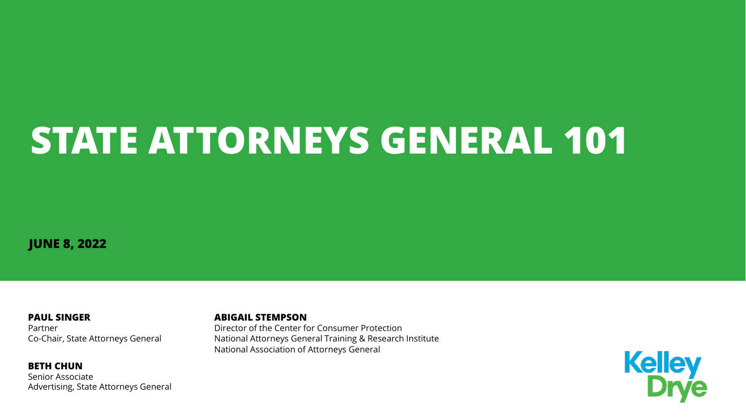# **STATE ATTORNEYS GENERAL 101**

**JUNE 8, 2022**

**PAUL SINGER** Partner Co-Chair, State Attorneys General

**BETH CHUN** Senior Associate Advertising, State Attorneys General

#### **ABIGAIL STEMPSON**

Director of the Center for Consumer Protection National Attorneys General Training & Research Institute National Association of Attorneys General

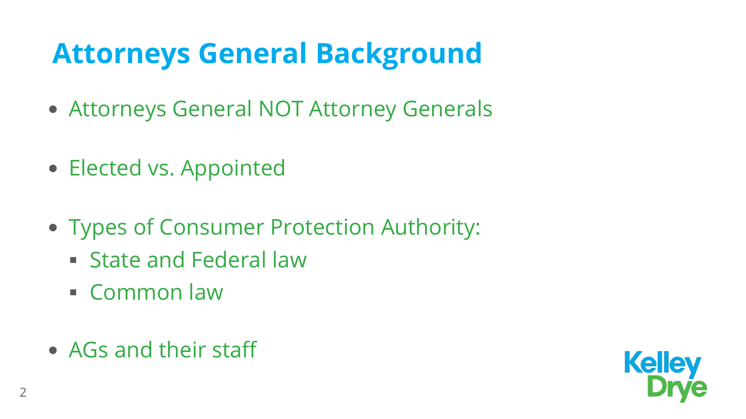#### **Attorneys General Background**

- Attorneys General NOT Attorney Generals
- Elected vs. Appointed
- Types of Consumer Protection Authority:
	- **State and Federal law**
	- Common law
- AGs and their staff

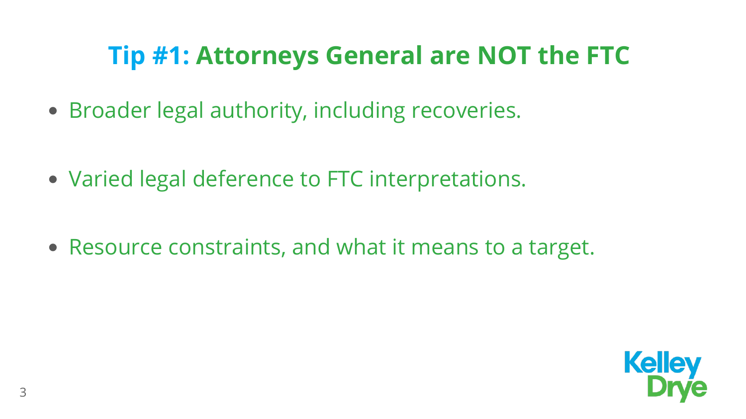#### **Tip #1: Attorneys General are NOT the FTC**

- Broader legal authority, including recoveries.
- Varied legal deference to FTC interpretations.

• Resource constraints, and what it means to a target.

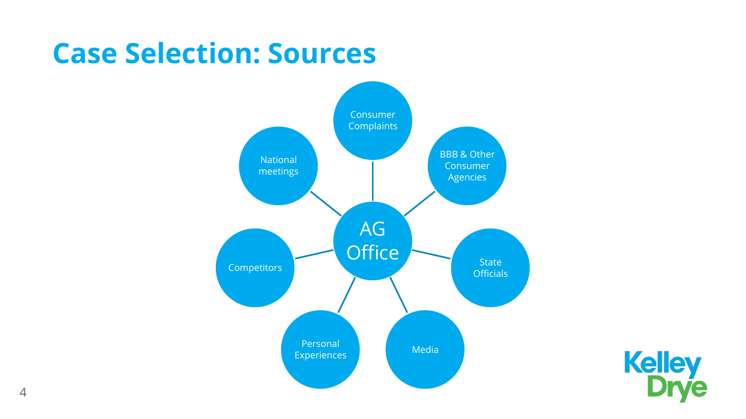#### **Case Selection: Sources**



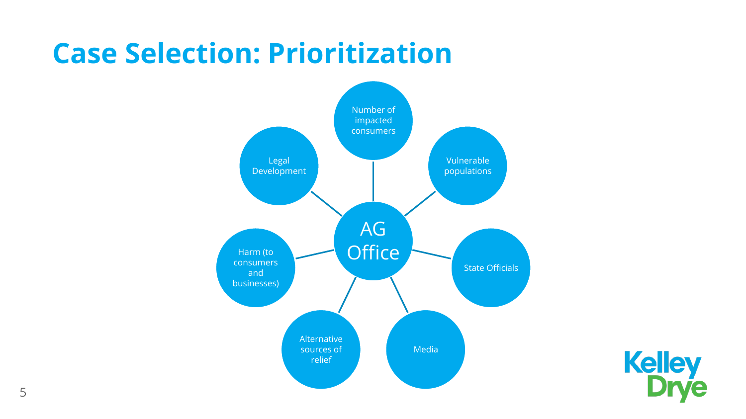#### **Case Selection: Prioritization**



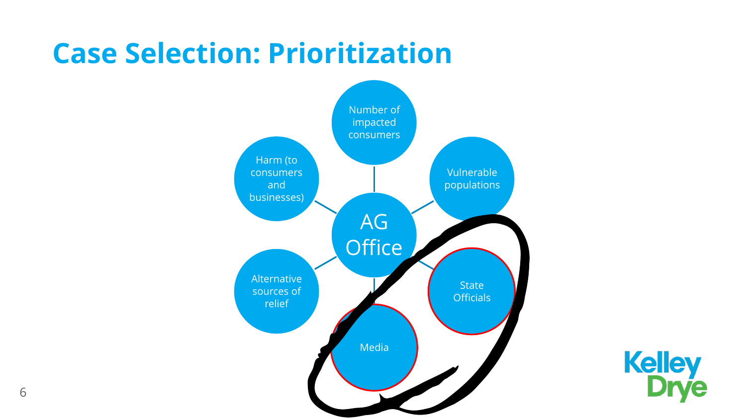#### **Case Selection: Prioritization**



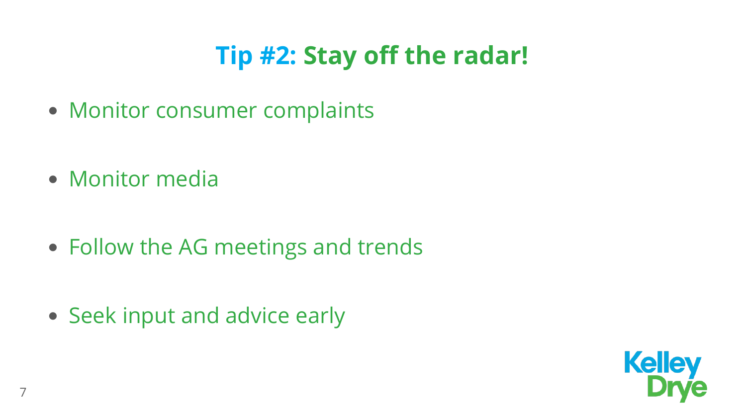#### **Tip #2: Stay off the radar!**

- Monitor consumer complaints
- Monitor media

- Follow the AG meetings and trends
- Seek input and advice early

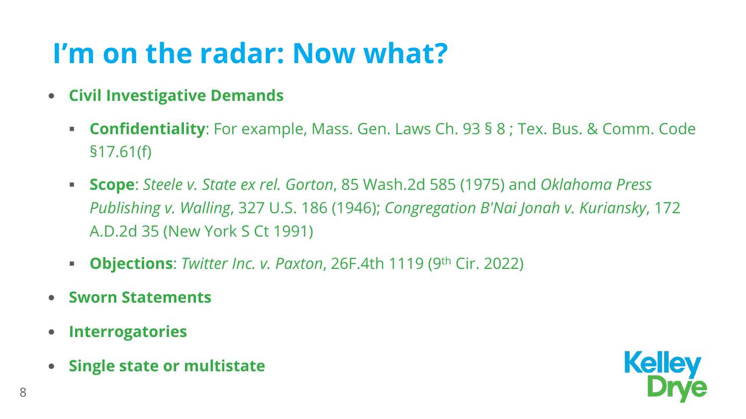#### **I'm on the radar: Now what?**

- **Civil Investigative Demands**
	- **Confidentiality**: For example, Mass. Gen. Laws Ch. 93 § 8 ; Tex. Bus. & Comm. Code §17.61(f)
	- **Scope**: *Steele v. State ex rel. Gorton*, 85 Wash.2d 585 (1975) and *Oklahoma Press Publishing v. Walling*, 327 U.S. 186 (1946); *Congregation B'Nai Jonah v. Kuriansky*, 172 A.D.2d 35 (New York S Ct 1991)
	- **Objections**: *Twitter Inc. v. Paxton*, 26F.4th 1119 (9th Cir. 2022)
- **Sworn Statements**
- **Interrogatories**
- **Single state or multistate**

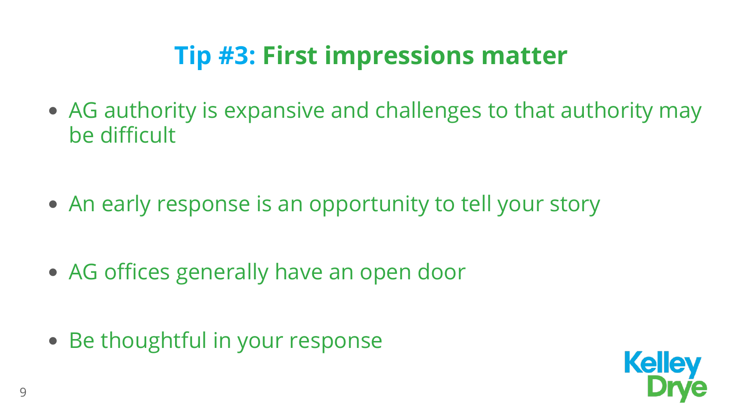#### **Tip #3: First impressions matter**

- AG authority is expansive and challenges to that authority may be difficult
- An early response is an opportunity to tell your story
- AG offices generally have an open door
- Be thoughtful in your response

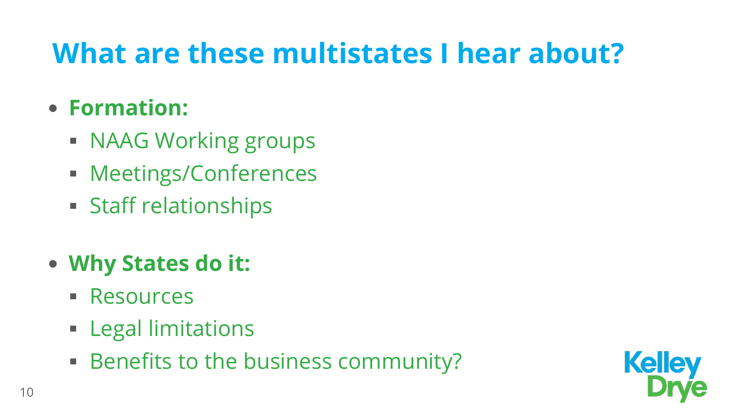#### **What are these multistates I hear about?**

#### **Formation:**

- **NAAG Working groups**
- **Meetings/Conferences**
- **Staff relationships**
- **Why States do it:**
	- **Resources**
	- **Exal limitations**
	- **Benefits to the business community?**

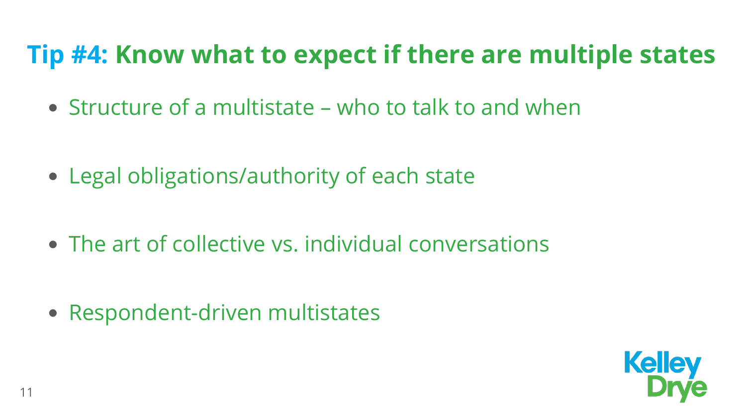#### **Tip #4: Know what to expect if there are multiple states**

- Structure of a multistate who to talk to and when
- Legal obligations/authority of each state
- The art of collective vs. individual conversations
- Respondent-driven multistates

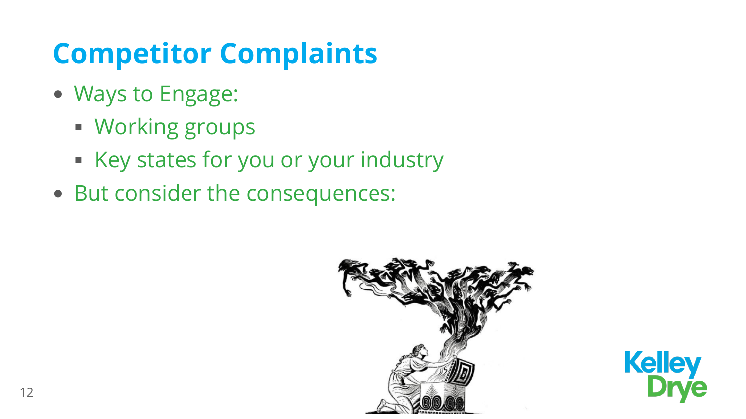### **Competitor Complaints**

- Ways to Engage:
	- **Working groups**
	- Key states for you or your industry
- But consider the consequences:



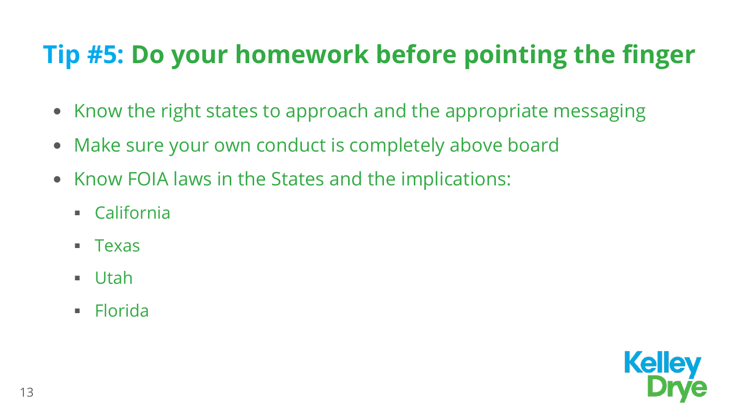#### **Tip #5: Do your homework before pointing the finger**

- Know the right states to approach and the appropriate messaging
- Make sure your own conduct is completely above board
- Know FOIA laws in the States and the implications:
	- California
	- $\blacksquare$  Texas
	- Utah
	- **Florida**

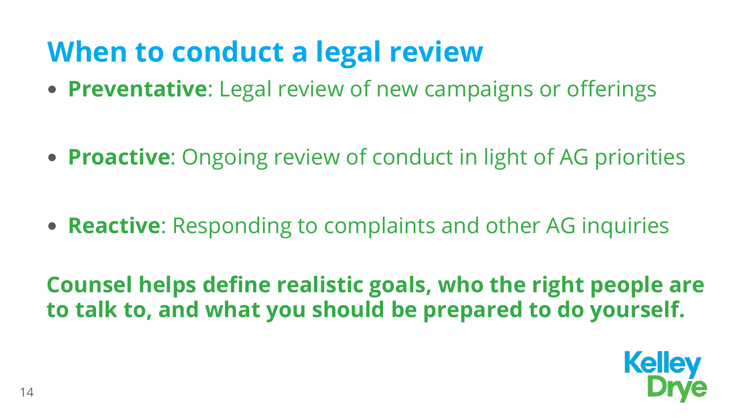#### **When to conduct a legal review**

**Preventative**: Legal review of new campaigns or offerings

**Proactive**: Ongoing review of conduct in light of AG priorities

**Reactive**: Responding to complaints and other AG inquiries

**Counsel helps define realistic goals, who the right people are to talk to, and what you should be prepared to do yourself.**

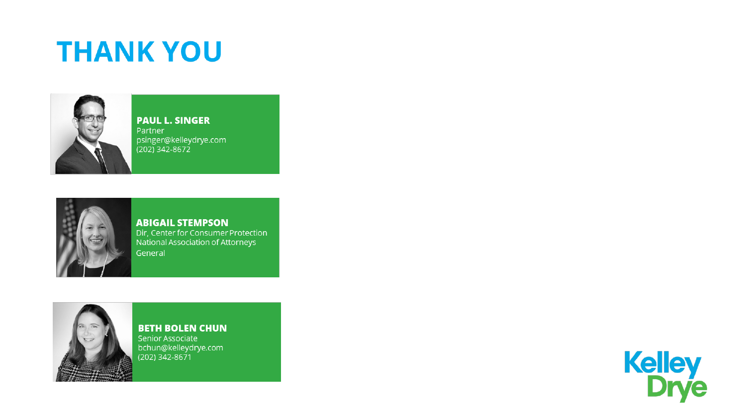#### **THANK YOU**



**PAUL L. SINGER** Partner psinger@kelleydrye.com<br>(202) 342-8672



**ABIGAIL STEMPSON** Dir, Center for Consumer Protection National Association of Attorneys General



**BETH BOLEN CHUN** Senior Associate bchun@kelleydrye.com<br>(202) 342-8671

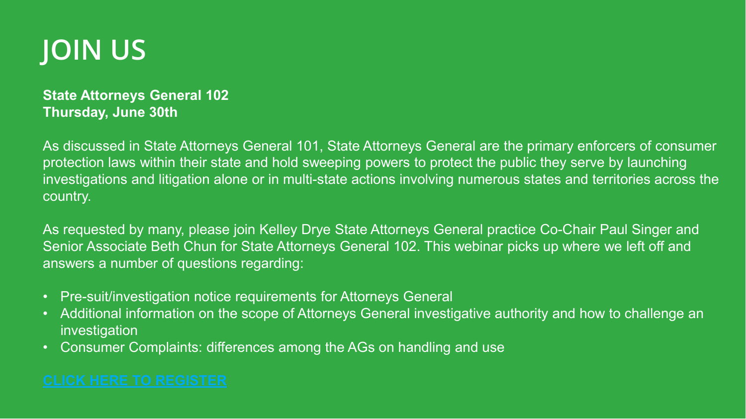#### **JOIN US**

#### **State Attorneys General 102 Thursday, June 30th**

As discussed in State Attorneys General 101, State Attorneys General are the primary enforcers of consumer protection laws within their state and hold sweeping powers to protect the public they serve by launching investigations and litigation alone or in multi-state actions involving numerous states and territories across the country.

As requested by many, please join Kelley Drye State Attorneys General practice Co-Chair Paul Singer and Senior Associate Beth Chun for State Attorneys General 102. This webinar picks up where we left off and answers a number of questions regarding:

- Pre-suit/investigation notice requirements for Attorneys General
- Additional information on the scope of Attorneys General investigative authority and how to challenge an investigation
- Consumer Complaints: differences among the AGs on handling and use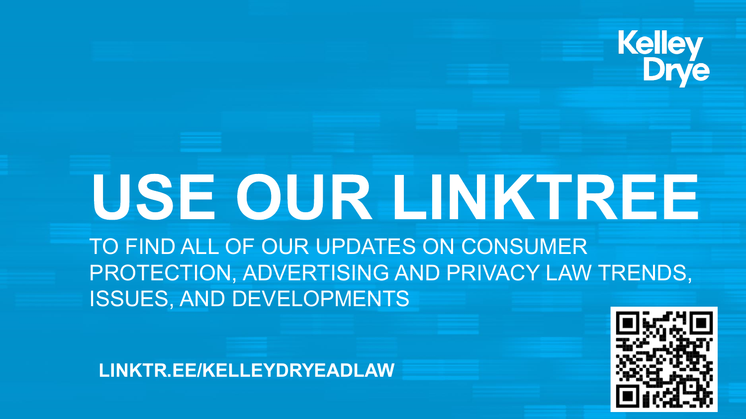# **Kelley<br>Drve**

#### USE OUR LINKTREE TO FIND ALL OF OUR UPDATES ON CONSUMER PROTECTION, ADVERTISING AND PRIVACY LAW TRENDS, ISSUES, AND DEVELOPMENTS

**LINKTR.EE/KELLEYDRYEADLAW**